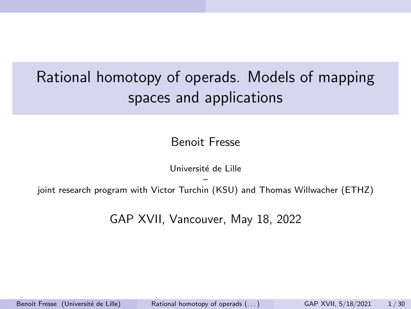# <span id="page-0-0"></span>Rational homotopy of operads. Models of mapping spaces and applications

Benoit Fresse

Université de Lille

– joint research program with Victor Turchin (KSU) and Thomas Willwacher (ETHZ)

GAP XVII, Vancouver, May 18, 2022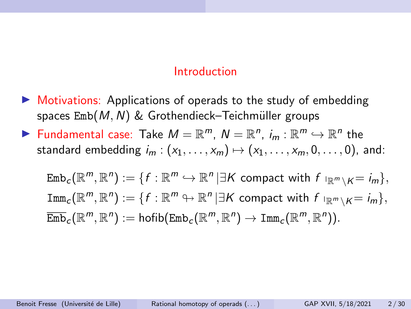#### Introduction

- $\triangleright$  Motivations: Applications of operads to the study of embedding spaces  $Emb(M, N)$  & Grothendieck–Teichmüller groups
- ▶ Fundamental case: Take  $M = \mathbb{R}^m$ ,  $N = \mathbb{R}^n$ ,  $i_m : \mathbb{R}^m \hookrightarrow \mathbb{R}^n$  the standard embedding  $i_m : (x_1, \ldots, x_m) \mapsto (x_1, \ldots, x_m, 0, \ldots, 0)$ , and:

 $\mathrm{Emb}_c(\mathbb{R}^m,\mathbb{R}^n):=\{f:\mathbb{R}^m\hookrightarrow\mathbb{R}^n\,|\exists K \text{ compact with } f\;|_{\mathbb{R}^m\setminus K}=i_m\},$  $\texttt{Imm}_c(\mathbb{R}^m,\mathbb{R}^n):=\{f:\mathbb{R}^m\looparrowright\mathbb{R}^n\,|\exists K \text{ compact with } f\mid_{\mathbb{R}^m\setminus K}=i_m\},$  $\overline{\mathrm{Emb}}_{c}(\mathbb{R}^m,\mathbb{R}^n) := \mathrm{hofib}(\mathrm{Emb}_{c}(\mathbb{R}^m,\mathbb{R}^n) \to \mathrm{Imm}_{c}(\mathbb{R}^m,\mathbb{R}^n)).$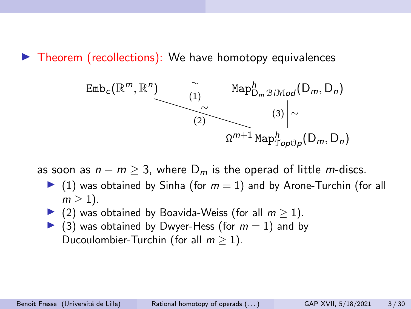$\blacktriangleright$  Theorem (recollections): We have homotopy equivalences



as soon as  $n - m \geq 3$ , where  $D_m$  is the operad of little m-discs.

- $\blacktriangleright$  (1) was obtained by Sinha (for  $m = 1$ ) and by Arone-Turchin (for all  $m > 1$ ).
- ▶ (2) was obtained by Boavida-Weiss (for all  $m > 1$ ).
- $\triangleright$  (3) was obtained by Dwyer-Hess (for  $m = 1$ ) and by Ducoulombier-Turchin (for all  $m > 1$ ).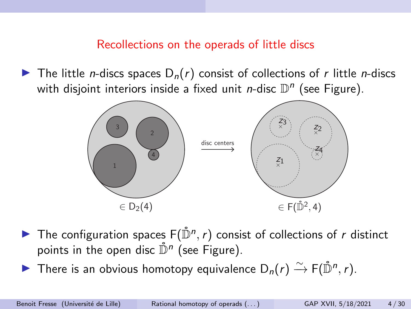#### Recollections on the operads of little discs

 $\blacktriangleright$  The little *n*-discs spaces D<sub>n</sub>(*r*) consist of collections of *r* little *n*-discs with disjoint interiors inside a fixed unit *n*-disc  $\mathbb{D}^n$  (see Figure).



- The configuration spaces  $F(\mathring{\mathbb{D}}^n, r)$  consist of collections of r distinct points in the open disc  $\mathring{\mathbb{D}}^n$  (see Figure).
- ▶ There is an obvious homotopy equivalence  $D_n(r) \xrightarrow{\sim} F(\mathring{D}^n, r)$ .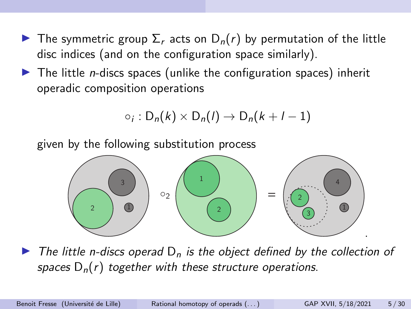- **The symmetric group**  $\Sigma_r$  **acts on**  $D_n(r)$  **by permutation of the little** disc indices (and on the configuration space similarly).
- $\blacktriangleright$  The little *n*-discs spaces (unlike the configuration spaces) inherit operadic composition operations

$$
\circ_i: D_n(k) \times D_n(l) \to D_n(k+l-1)
$$

given by the following substitution process



 $\triangleright$  The little n-discs operad  $D_n$  is the object defined by the collection of spaces  $D_n(r)$  together with these structure operations.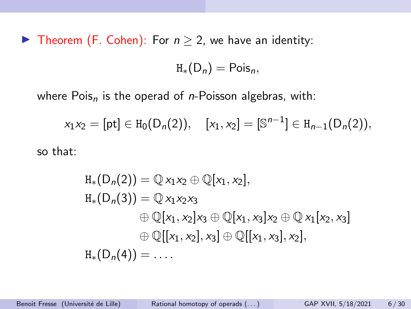▶ Theorem (F. Cohen): For  $n \geq 2$ , we have an identity:

 $H_*(D_n) = \text{Pois}_n$ 

where  $Pois<sub>n</sub>$  is the operad of *n*-Poisson algebras, with:

 $x_1x_2 = [\text{pt}] \in H_0(D_n(2)), \quad [x_1, x_2] = [\mathbb{S}^{n-1}] \in H_{n-1}(D_n(2)),$ 

so that:

$$
H_{*}(D_{n}(2)) = \mathbb{Q} x_{1}x_{2} \oplus \mathbb{Q}[x_{1}, x_{2}],
$$
  
\n
$$
H_{*}(D_{n}(3)) = \mathbb{Q} x_{1}x_{2}x_{3}
$$
  
\n
$$
\oplus \mathbb{Q}[x_{1}, x_{2}]x_{3} \oplus \mathbb{Q}[x_{1}, x_{3}]x_{2} \oplus \mathbb{Q} x_{1}[x_{2}, x_{3}]
$$
  
\n
$$
\oplus \mathbb{Q}[[x_{1}, x_{2}], x_{3}] \oplus \mathbb{Q}[[x_{1}, x_{3}], x_{2}],
$$
  
\n
$$
H_{*}(D_{n}(4)) = \dots
$$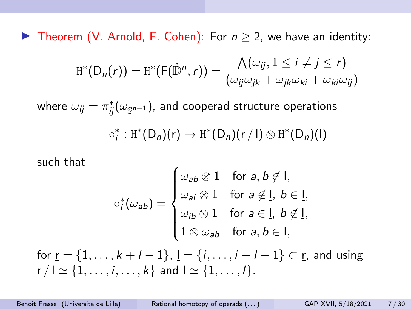▶ Theorem (V. Arnold, F. Cohen): For  $n \geq 2$ , we have an identity:

$$
\text{H}^*(\textsf{D}_n(r)) = \text{H}^*(\textsf{F}(\mathring{\mathbb{D}}^n,r)) = \frac{\bigwedge(\omega_{ij}, 1 \leq i \neq j \leq r)}{(\omega_{ij}\omega_{jk} + \omega_{jk}\omega_{ki} + \omega_{ki}\omega_{ij})}
$$

where  $\omega_{ij} = \pi_{ij}^*(\omega_{\mathbb{S}^{n-1}})$ , and cooperad structure operations  $\circ_i^*: H^*(D_n)(\underline{r}) \to H^*(D_n)(\underline{r}/\underline{l}) \otimes H^*(D_n)(\underline{l})$ 

such that

$$
\circ_j^*(\omega_{ab}) = \begin{cases} \omega_{ab} \otimes 1 & \text{for } a, b \notin \underline{l}, \\ \omega_{ai} \otimes 1 & \text{for } a \notin \underline{l}, \ b \in \underline{l}, \\ \omega_{ib} \otimes 1 & \text{for } a \in \underline{l}, \ b \notin \underline{l}, \\ 1 \otimes \omega_{ab} & \text{for } a, b \in \underline{l}, \end{cases}
$$

for  $r = \{1, ..., k + l - 1\}$ ,  $l = \{i, ..., i + l - 1\} \subset r$ , and using  $r / l \simeq \{1, \ldots, i, \ldots, k\}$  and  $l \simeq \{1, \ldots, l\}.$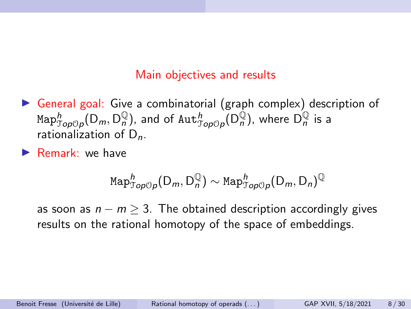#### Main objectives and results

- $\triangleright$  General goal: Give a combinatorial (graph complex) description of  $\text{\rm Map}^h_{\mathcal Top \mathcal{O}p}(\mathsf{D}_m, \mathsf{D}_n^{\mathbb Q}),$  and of  $\text{\rm Aut}^h_{\mathcal Top \mathcal{O}p}(\mathsf{D}_n^{\mathbb Q}),$  where  $\mathsf{D}_n^{\mathbb Q}$  is a rationalization of  $D_n$ .
- $\blacktriangleright$  Remark: we have

$$
\mathrm{Map}^h_{\mathcal{Top} \mathcal{O}p}(\mathsf{D}_m, \mathsf{D}_n^{\mathbb{Q}}) \sim \mathrm{Map}^h_{\mathcal{Top} \mathcal{O}p}(\mathsf{D}_m, \mathsf{D}_n)^{\mathbb{Q}}
$$

as soon as  $n - m \geq 3$ . The obtained description accordingly gives results on the rational homotopy of the space of embeddings.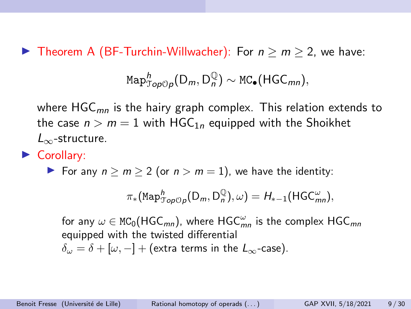**IF** Theorem A (BF-Turchin-Willwacher): For  $n > m > 2$ , we have:

$$
\text{Map}^h_{\mathcal{Top} \mathcal{OP}}(D_m, D_n^{\mathbb{Q}}) \sim \text{MC}_\bullet(\text{HGC}_{mn}),
$$

where  $HGC_{mn}$  is the hairy graph complex. This relation extends to the case  $n > m = 1$  with HGC<sub>1n</sub> equipped with the Shoikhet  $L_{\infty}$ -structure.

#### Corollary:

For any  $n > m > 2$  (or  $n > m = 1$ ), we have the identity:

$$
\pi_*({\rm Map}^h_{{\mathcal Top}{{\mathcal O}}_P}({\mathsf D}_m,{\mathsf D}_n^{{\mathbb Q}}), \omega)=H_{*-1}({\mathsf{HGC}}_{mn}^\omega),
$$

for any  $\omega \in \text{MC}_0(\text{HGC}_{mn})$ , where  $\text{HGC}_{mn}^{\omega}$  is the complex  $\text{HGC}_{mn}$ equipped with the twisted differential  $\delta_{\omega} = \delta + [\omega, -] +$  (extra terms in the  $L_{\infty}$ -case).

Benoit Fresse (Université de Lille) Rational homotopy of operads  $\binom{1}{k}$  GAP XVII, 5/18/2021 9/30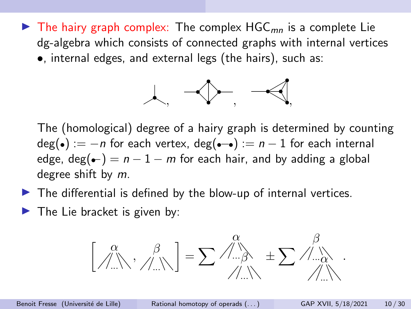$\blacktriangleright$  The hairy graph complex: The complex HGC<sub>mn</sub> is a complete Lie dg-algebra which consists of connected graphs with internal vertices •, internal edges, and external legs (the hairs), such as:



The (homological) degree of a hairy graph is determined by counting  $deg(\bullet) := -n$  for each vertex,  $deg(\bullet \rightarrow) := n - 1$  for each internal edge, deg( $\leftarrow$ ) = n - 1 – m for each hair, and by adding a global degree shift by m.

- $\blacktriangleright$  The differential is defined by the blow-up of internal vertices.
- $\blacktriangleright$  The Lie bracket is given by:

$$
\left[\begin{array}{c} \alpha \\ \beta \\ \beta \end{array}\right], \begin{array}{c} \beta \\ \beta \\ \beta \end{array}\right]=\sum\mathop{\phantom{\sum}}\mathop{\phantom{\sum}}\mathop{\phantom{\sum}}\limits^{0}\left.\begin{array}{c} \beta \\ \beta \\ \beta \end{array}\right]=\sum\mathop{\phantom{\sum}}\mathop{\phantom{\sum}}\mathop{\phantom{\sum}}\limits^{0}\left.\begin{array}{c} \beta \\ \beta \\ \beta \end{array}\right).
$$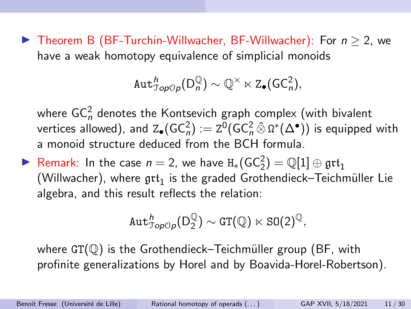▶ Theorem B (BF-Turchin-Willwacher, BF-Willwacher): For  $n > 2$ , we have a weak homotopy equivalence of simplicial monoids

$$
\text{Aut}^h_{\mathcal{T}\text{op} \mathcal{O} \rho}(D_n^{\mathbb{Q}}) \sim \mathbb{Q}^{\times} \ltimes \text{Z}_{\bullet}(\text{GC}_n^2),
$$

where GC $_n^2$  denotes the Kontsevich graph complex (with bivalent vertices allowed), and  $\text{Z}_{\bullet}(\text{GC}_n^2) := \text{Z}^0(\text{GC}_n^2 \,\hat{\otimes}\, \Omega^*(\Delta^{\bullet}))$  is equipped with a monoid structure deduced from the BCH formula.

► Remark: In the case  $n = 2$ , we have  $H_*(GC_2^2) = \mathbb{Q}[1] \oplus \mathfrak{grt}_1$ (Willwacher), where  $\mathfrak{grt}_1$  is the graded Grothendieck–Teichmüller Lie algebra, and this result reflects the relation:

$$
\text{Aut}^h_{\mathcal{T}\text{op} \mathbb{O} \rho}(D_2^{\mathbb{Q}}) \sim \text{GT}(\mathbb{Q}) \ltimes \text{SO}(2)^{\mathbb{Q}},
$$

where  $GT(\mathbb{O})$  is the Grothendieck–Teichmüller group (BF, with profinite generalizations by Horel and by Boavida-Horel-Robertson).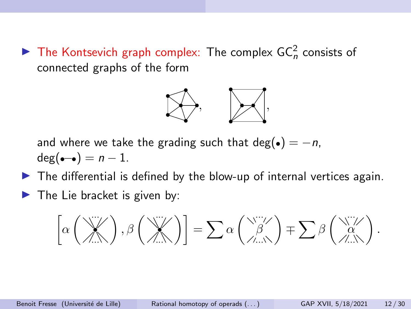$\blacktriangleright$  The Kontsevich graph complex: The complex GC<sub>n</sub> consists of connected graphs of the form



and where we take the grading such that deg( $\bullet$ ) = -n,  $deg(--) = n-1$ .

- $\blacktriangleright$  The differential is defined by the blow-up of internal vertices again.
- $\blacktriangleright$  The Lie bracket is given by:

 α ··· • ··· , β ··· • ··· <sup>=</sup> Xα ··· β ··· ∓ Xβ ··· α ··· .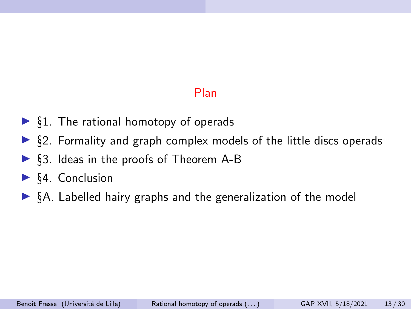## Plan

- $\triangleright$  §1. The rational homotopy of operads
- $\triangleright$  §2. Formality and graph complex models of the little discs operads
- $\triangleright$  §3. Ideas in the proofs of Theorem A-B
- $\triangleright$  §4. Conclusion
- $\triangleright$  §A. Labelled hairy graphs and the generalization of the model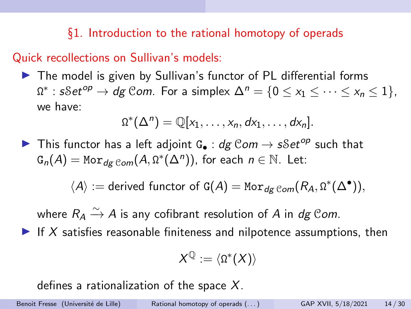§1. Introduction to the rational homotopy of operads

Quick recollections on Sullivan's models:

 $\triangleright$  The model is given by Sullivan's functor of PL differential forms  $\Omega^*$ :  $sSet^{op} \to dg$  Com. For a simplex  $\Delta^n = \{0 \le x_1 \le \cdots \le x_n \le 1\}$ , we have:

$$
\Omega^*(\Delta^n)=\mathbb{Q}[x_1,\ldots,x_n,dx_1,\ldots,dx_n].
$$

In This functor has a left adjoint G<sub>•</sub> : dg Com  $\rightarrow$  sSet<sup>op</sup> such that  $G_n(A) = \text{Mor}_{dg \; Com}(A, \Omega^*(\Delta^n)), \text{ for each } n \in \mathbb{N}.$  Let:

 $\langle A \rangle :=$  derived functor of G(A) = Mo $r_{dg\, {\mathcal{C}om}}(R_A, \Omega^*(\Delta^\bullet)),$ 

where  $R_A \xrightarrow{\sim} A$  is any cofibrant resolution of  $A$  in  $dg$  Com.

If X satisfies reasonable finiteness and nilpotence assumptions, then

$$
X^{\mathbb{Q}}:=\langle\Omega^*(X)\rangle
$$

defines a rationalization of the space  $X$ .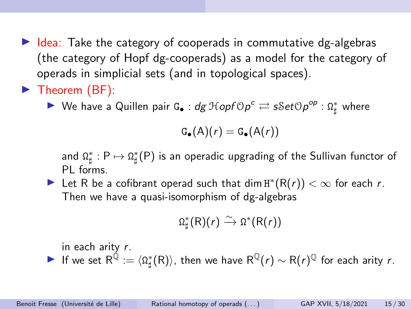$\blacktriangleright$  Idea: Take the category of cooperads in commutative dg-algebras (the category of Hopf dg-cooperads) as a model for the category of operads in simplicial sets (and in topological spaces).

# $\blacktriangleright$  Theorem (BF):

▶ We have a Quillen pair G. :  $dg \: \mathcal{H}oph \circ \rho^c \rightleftarrows sSet \circ p^{op} : \Omega^*_{\sharp}$  where

$$
\mathsf{G}_{\bullet}(\mathsf{A})(r) = \mathsf{G}_{\bullet}(\mathsf{A}(r))
$$

and  $\Omega^*_{\sharp}: P \mapsto \Omega^*_{\sharp}(P)$  is an operadic upgrading of the Sullivan functor of PL forms.

► Let R be a cofibrant operad such that dim  $H^*(R(r)) < \infty$  for each r. Then we have a quasi-isomorphism of dg-algebras

$$
\Omega^*_{\sharp}(\mathsf{R})(r) \xrightarrow{\sim} \Omega^*(\mathsf{R}(r))
$$

in each arity r.

▶ If we set  $R^{\bar {\mathbb Q}}:=\langle \Omega^*_\sharp(R)\rangle$ , then we have  $R^{\mathbb Q}(r)\sim R(r)^{\mathbb Q}$  for each arity  $r.$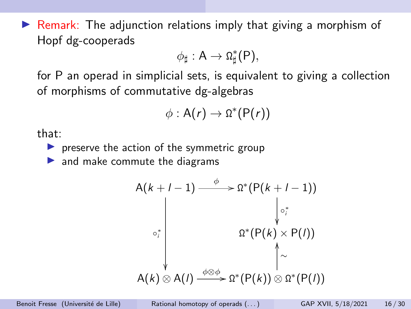$\triangleright$  Remark: The adjunction relations imply that giving a morphism of Hopf dg-cooperads

$$
\phi_{\sharp}: A \to \Omega_{\sharp}^*(P),
$$

for P an operad in simplicial sets, is equivalent to giving a collection of morphisms of commutative dg-algebras

$$
\phi: A(r) \to \Omega^*(P(r))
$$

that:

 $\blacktriangleright$  preserve the action of the symmetric group

 $\blacktriangleright$  and make commute the diagrams

$$
A(k+l-1) \xrightarrow{\phi} \Omega^*(P(k+l-1))
$$
\n
$$
\downarrow \circ_i^*
$$
\n
$$
\Omega^*(P(k) \times P(l))
$$
\n
$$
A(k) \otimes A(l) \xrightarrow{\phi \otimes \phi} \Omega^*(P(k)) \otimes \Omega^*(P(l))
$$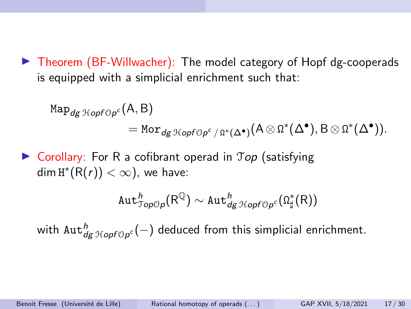$\triangleright$  Theorem (BF-Willwacher): The model category of Hopf dg-cooperads is equipped with a simplicial enrichment such that:

$$
\begin{split} \text{Map}_{dg \; \mathcal{H}opf \circ \rho^c}(A, B) \\ &= \text{Mor}_{dg \; \mathcal{H}opf \circ \rho^c \; / \; \Omega^*(\Delta^{\bullet})} (A \otimes \Omega^*(\Delta^{\bullet}), B \otimes \Omega^*(\Delta^{\bullet})). \end{split}
$$

 $\triangleright$  Corollary: For R a cofibrant operad in  $\mathcal{T}$ op (satisfying dim  $\text{H}^*(\text{R}(r)) < \infty$ ), we have:

$$
\text{Aut}^h_{\mathcal{T}\! op \mathbb{O} p}(\mathsf{R}^\mathbb{Q}) \sim \text{Aut}^h_{dg}{}_{\mathcal{T}\! top \mathsf{f} \mathbb{O} p^c}(\Omega^*_\sharp(\mathsf{R}))
$$

with  $\text{Aut}^h_{\textit{dg}\,\mathfrak{Hom}(\mathsf{p}^{\mathsf{c}})}(-)$  deduced from this simplicial enrichment.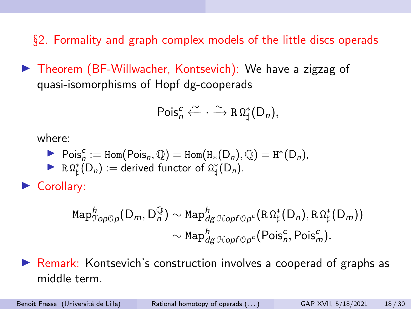§2. Formality and graph complex models of the little discs operads

▶ Theorem (BF-Willwacher, Kontsevich): We have a zigzag of quasi-isomorphisms of Hopf dg-cooperads

$$
\mathsf{Pois}^c_n \xleftarrow{\sim} \cdot \xrightarrow{\sim} R\,\Omega^*_\sharp(D_n),
$$

where:

- ▶ Pois<sub>n</sub><sup>c</sup> := Hom(Pois<sub>n</sub>, Q) = Hom(H<sub>\*</sub>(D<sub>n</sub>), Q) = H<sup>\*</sup>(D<sub>n</sub>),
- R  $\Omega^*_{\sharp}(D_n) :=$  derived functor of  $\Omega^*_{\sharp}(D_n)$ .

Corollary:

$$
\mathrm{Map}^h_{\mathcal{Top} \mathcal{O}p}(\mathsf{D}_m, \mathsf{D}_n^{\mathbb{Q}}) \sim \mathrm{Map}^h_{dg} \mathrm{Hom}^{\mathcal{O}}_{\mathcal{PO}f \mathcal{O}p^c}(\mathrm{R} \Omega_{\sharp}^*(\mathsf{D}_n), \mathrm{R} \Omega_{\sharp}^*(\mathsf{D}_m))
$$

$$
\sim \mathrm{Map}^h_{dg} \mathrm{Hom}^{\mathcal{O}}_{\mathcal{PO}f \mathcal{O}p^c}(\mathrm{Pois}_n^c, \mathrm{Pois}_m^c).
$$

 $\triangleright$  Remark: Kontsevich's construction involves a cooperad of graphs as middle term.

Benoit Fresse (Université de Lille) Rational homotopy of operads (...) GAP XVII, 5/18/2021 18/30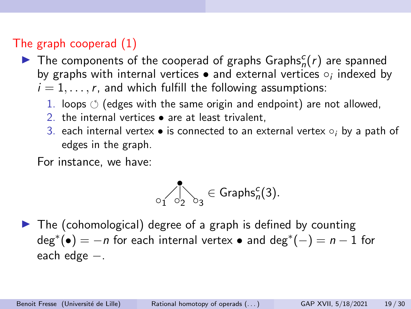## The graph cooperad (1)

- $\blacktriangleright$  The components of the cooperad of graphs Graphs ${}^c_n(r)$  are spanned by graphs with internal vertices  $\bullet$  and external vertices  $\circ$ ; indexed by  $i = 1, \ldots, r$ , and which fulfill the following assumptions:
	- 1. loops  $\circlearrowleft$  (edges with the same origin and endpoint) are not allowed,
	- 2. the internal vertices  $\bullet$  are at least trivalent.
	- 3. each internal vertex is connected to an external vertex  $\circ_i$  by a path of edges in the graph.

For instance, we have:

$$
\bigcirc_1 \bigcirc_2 \bigcirc_3 \in \mathsf{Graphs}_n^c(3).
$$

 $\blacktriangleright$  The (cohomological) degree of a graph is defined by counting  $deg^*(\bullet) = -n$  for each internal vertex  $\bullet$  and  $deg^*(-) = n - 1$  for each edge −.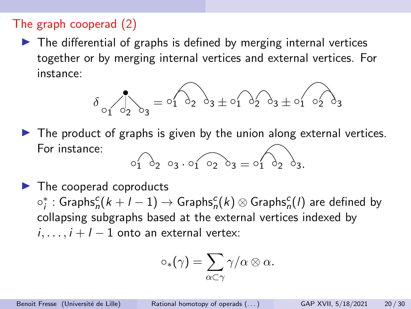#### The graph cooperad (2)

 $\blacktriangleright$  The differential of graphs is defined by merging internal vertices together or by merging internal vertices and external vertices. For instance:

$$
\delta_{o_1} \cdot \delta_{o_2} \cdot \delta_3 = o_1 \cdot \delta_2 \cdot \delta_3 \pm o_1 \cdot \delta_2 \cdot \delta_3 \pm o_1 \cdot o_2 \cdot \delta_3
$$

- $\blacktriangleright$  The product of graphs is given by the union along external vertices. For instance:  $01$   $03$   $03.01$   $03$   $03 - 01$   $03$
- $\blacktriangleright$  The cooperad coproducts  $\circ_j^*$  : Graphs $_{n}^c(k+l-1)\rightarrow$  Graphs $_{n}^c(k)\otimes$  Graphs $_{n}^c(l)$  are defined by collapsing subgraphs based at the external vertices indexed by  $i, \ldots, i+l-1$  onto an external vertex:

$$
\circ_*(\gamma) = \sum_{\alpha \subset \gamma} \gamma/\alpha \otimes \alpha.
$$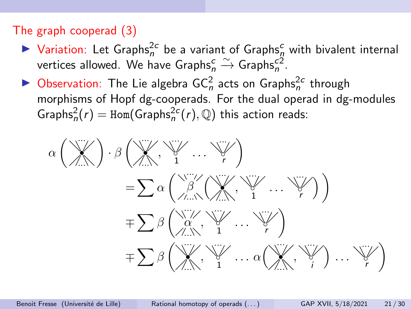### The graph cooperad (3)

- $\blacktriangleright$  Variation: Let Graphs<sup>2c</sup> be a variant of Graphs<sup>c</sup> with bivalent internal vertices allowed. We have Graphs ${}_{n}^{c} \xrightarrow{\sim}$  Graphs ${}_{n}^{c2}$ .
- $\blacktriangleright$  Observation: The Lie algebra GC<sub>n</sub> acts on Graphs<sub>n</sub><sup>2c</sup> through morphisms of Hopf dg-cooperads. For the dual operad in dg-modules  $\mathsf{Graphs}_n^2(r) = \mathsf{Hom}(\mathsf{Graphs}_n^{2c}(r), \mathbb{Q})$  this action reads:

α ··· • ··· · β ··· • ··· , ··· ◦ 1 . . . ··· ◦ r = Xα ··· β ··· ··· • ··· , ··· ◦ 1 . . . ··· ◦ r ∓ Xβ ··· α ··· , ··· ◦ 1 . . . ··· ◦ r ∓ Xβ ··· • ··· , ··· ◦ 1 . . . α ··· • ··· , ··· ◦ i . . . ··· ◦ r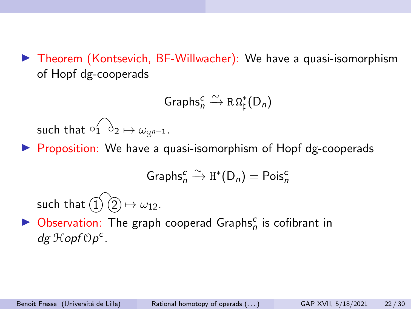$\triangleright$  Theorem (Kontsevich, BF-Willwacher): We have a quasi-isomorphism of Hopf dg-cooperads

$$
\mathsf{Graphs}_n^c \xrightarrow{\sim} R\,\Omega_\sharp^*(D_n)
$$

such that  $\circ'_1 \circ'_2 \mapsto \omega_{\mathbb{S}^{n-1}}$ .

 $\triangleright$  Proposition: We have a quasi-isomorphism of Hopf dg-cooperads

Graphs<sub>n</sub><sup>c</sup> 
$$
\xrightarrow{\sim}
$$
 H<sup>\*</sup>(D<sub>n</sub>) = Pois<sub>n</sub><sup>c</sup>

such that  $\widetilde{11}$   $\widetilde{2}$   $\mapsto \omega_{12}$ .

 $\blacktriangleright$  Observation: The graph cooperad Graphs<sup>c</sup> is cofibrant in  $dg \operatorname{\mathcal{H}}$ opf $Op^c$ .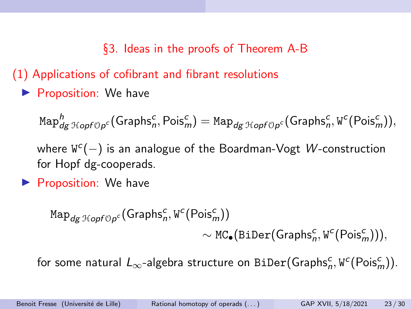§3. Ideas in the proofs of Theorem A-B

(1) Applications of cofibrant and fibrant resolutions

 $\blacktriangleright$  Proposition: We have

 ${\rm Map}^h_{dg\:{\cal H}opf\circ p^c}({\rm Graphs}^c_n,{\rm Pois}^c_m)={\rm Map}_{dg\:{\cal H}opf\circ p^c}({\rm Graphs}^c_n,{\tt W}^c({\rm Pois}^c_m)),$ 

where  $\mathbb{W}^c(-)$  is an analogue of the Boardman-Vogt  $W$ -construction for Hopf dg-cooperads.

 $\blacktriangleright$  Proposition: We have

 $\text{\tt Map}_{\text{\it dg HopfOp}^c}(\text{\sf Graphs}_n^c, \text{\tt W}^c(\text{\sf Pois}_m^c))$  $\sim \texttt{MC}_\bullet(\texttt{Biber}(\textsf{Graphs}_n^c, \texttt{W}^c(\textsf{Pois}_m^c))),$ 

for some natural  $L_{\infty}$ -algebra structure on BiDe $\mathrm{r}(\mathsf{Graphs}_n^c, \mathtt{W}^c(\mathsf{Pois}_m^c)).$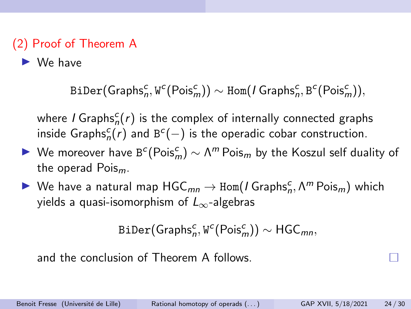# (2) Proof of Theorem A

 $\blacktriangleright$  We have

BiDer $(\mathsf{Graphs}_n^c, \mathtt{W}^c(\mathsf{Pois}_m^c)) \sim \texttt{Hom}(I\mathsf{Graphs}_n^c, \mathtt{B}^c(\mathsf{Pois}_m^c)),$ 

where *I* Graphs ${}_{n}^{c}(r)$  is the complex of internally connected graphs inside Graphs ${}_{n}^{c}(r)$  and B<sup>c</sup>(−) is the operadic cobar construction.

- ► We moreover have B<sup>c</sup>(Pois<sup>c</sup><sub>m</sub>)  $\sim \Lambda^m$  Pois<sub>m</sub> by the Koszul self duality of the operad  $Pois_m$ .
- $\blacktriangleright$  We have a natural map  $\mathsf{HGC}_{mn}\to\mathsf{Hom}(I\mathsf{Graphs}_n^c,\Lambda^m\mathsf{Pois}_m)$  which yields a quasi-isomorphism of  $L_{\infty}$ -algebras

```
BiDer(\mathsf{Graphs}_n^c, \mathtt{W}^c(\mathsf{Pois}_m^c)) \sim \mathsf{HGC}_{mn}
```
and the conclusion of Theorem A follows.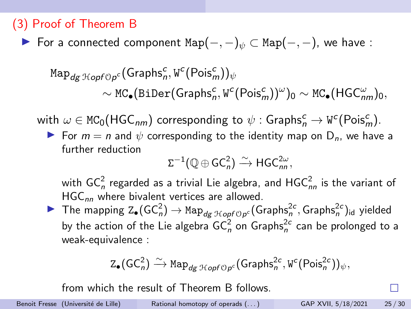### (3) Proof of Theorem B

**For a connected component Map** $(-, -)_w \subset \text{Map}(-, -)$ , we have :

$$
\text{Map}_{dg\; \mathcal{H}opf \cup \rho^c}(\text{Graphs}_n^c, \text{W}^c(\text{Pois}_m^c))_{\psi} \sim \text{MC}_{\bullet}(\text{Biber}(\text{Graphs}_n^c, \text{W}^c(\text{Pois}_m^c))^{\omega})_0 \sim \text{MC}_{\bullet}(\text{HGC}_{nm}^{\omega})_0,
$$

with  $\omega \in \texttt{MC}_0(\textsf{HGC}_{nm})$  corresponding to  $\psi : \textsf{Graphs}_n^c \to \texttt{W}^c(\textsf{Pois}_m^c)$ .

For  $m = n$  and  $\psi$  corresponding to the identity map on  $D_n$ , we have a further reduction

$$
\Sigma^{-1}(\mathbb{Q}\oplus GC_n^2)\xrightarrow{\sim} HGC_{nn}^{2\omega},
$$

with GC $_{n}^{2}$  regarded as a trivial Lie algebra, and HGC $_{nn}^{2}$  is the variant of  $HGC_{nn}$  where bivalent vertices are allowed.

The mapping  $Z_{\bullet}(GC_n^2) \to \text{Map}_{dg\ \mathcal{H}opf\circ p^c}(Graphs_n^{2c},Graphs_n^{2c})_{id}$  yielded by the action of the Lie algebra GC $_n^2$  on Graphs $_n^{2c}$  can be prolonged to a weak-equivalence :

$$
\mathrm{Z}_\bullet(\mathsf{GC}_n^2)\xrightarrow{\sim}\mathrm{Map}_{\mathit{dg}\ \mathcal{H}\mathit{opf}\ \mathbb{O} \mathit{p}^c}(\mathsf{Graphs}_n^{2c},\mathit{W}^c(\mathsf{Pois}_n^{2c}))_{\psi},
$$

from which the result of Theorem B follows.

Benoit Fresse (Université de Lille) Rational homotopy of operads (...) GAP XVII, 5/18/2021 25/30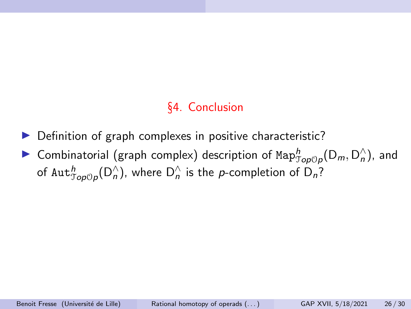## §4. Conclusion

- $\triangleright$  Definition of graph complexes in positive characteristic?
- ▶ Combinatorial (graph complex) description of  $\mathrm{Map}^h_{\mathcal{Top} \mathcal{O} p}(\mathsf{D}_m, \mathsf{D}_n^{\wedge})$ , and of  $\text{Aut}_{\mathcal{J}\text{op}(\mathcal{O}_{\bm{n}}^{\wedge})}^{\bm{n}}$  , where  $\mathsf{D}^{\wedge}_{\bm{n}}$  is the  $\bm{p}$ -completion of  $\mathsf{D}_{\bm{n}}?$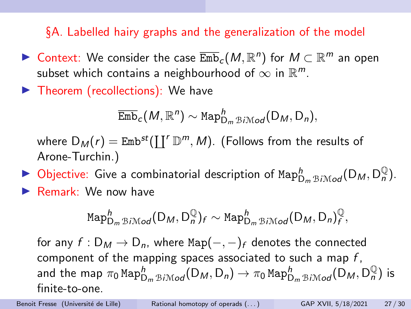§A. Labelled hairy graphs and the generalization of the model

- ▶ Context: We consider the case  $\overline{\mathrm{Emb}}_c(M,\mathbb{R}^n)$  for  $M\subset \mathbb{R}^m$  an open subset which contains a neighbourhood of  $\infty$  in  $\mathbb{R}^m$ .
- $\blacktriangleright$  Theorem (recollections): We have

$$
\overline{\mathrm{Emb}}_c(M,\mathbb{R}^n) \sim \mathrm{Map}^h_{D_m \mathrm{BiMod}}(D_M, D_n),
$$

where  $\mathsf{D}_\mathsf{M}(r) = \mathsf{Emb}^{st}(\coprod^r \mathbb{D}^m, \mathsf{M}).$  (Follows from the results of Arone-Turchin.)

 $\blacktriangleright$  Objective: Give a combinatorial description of  $\text{Map}^h_{\text{D}_m \text{BiMod}}(\text{D}_M, \text{D}_n^{\mathbb{Q}})$ . Remark: We now have

$$
\text{Map}_{D_m \oplus i \mathcal{M}od}^h(D_M, D_n^{\mathbb{Q}})_f \sim \text{Map}_{D_m \oplus i \mathcal{M}od}^h(D_M, D_n)_f^{\mathbb{Q}},
$$

for any  $f: D_M \to D_n$ , where Map $(-, -)_f$  denotes the connected component of the mapping spaces associated to such a map  $f$ . and the map  $\pi_0$  Map $^h_{\mathsf{D}_m \boxtimes i \mathcal{M} o d}(\mathsf{D}_\mathcal{M},\mathsf{D}_n) \to \pi_0$  Map $^h_{\mathsf{D}_m \boxtimes i \mathcal{M} o d}(\mathsf{D}_\mathcal{M},\mathsf{D}_n^\mathbb{Q})$  is finite-to-one.

Benoit Fresse (Université de Lille) Rational homotopy of operads (...) GAP XVII, 5/18/2021 27/30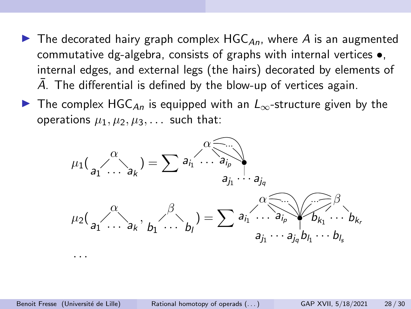- $\blacktriangleright$  The decorated hairy graph complex HGC<sub>An</sub>, where A is an augmented commutative dg-algebra, consists of graphs with internal vertices •, internal edges, and external legs (the hairs) decorated by elements of A. The differential is defined by the blow-up of vertices again.
- **IF** The complex HGC<sub>An</sub> is equipped with an  $L_{\infty}$ -structure given by the operations  $\mu_1, \mu_2, \mu_3, \ldots$  such that:



· · ·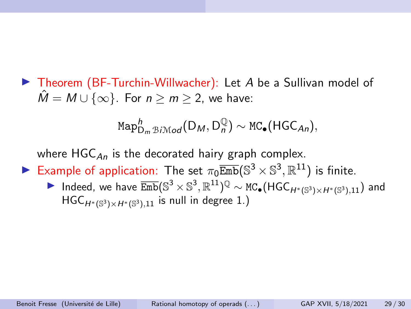$\blacktriangleright$  Theorem (BF-Turchin-Willwacher): Let A be a Sullivan model of  $\hat{M} = M \cup \{\infty\}$ . For  $n \ge m \ge 2$ , we have:

$$
\text{Map}_{D_m\mathcal{B}i\mathcal{M}od}^h(D_M, D_n^{\mathbb{Q}}) \sim \text{MC}_\bullet(\text{HGC}_{An}),
$$

where  $HGC_{An}$  is the decorated hairy graph complex.

- Example of application: The set  $\pi_0 \overline{\text{Emb}}(\mathbb{S}^3 \times \mathbb{S}^3, \mathbb{R}^{11})$  is finite.
	- ▶ Indeed, we have  $\overline{\text{Emb}}(\mathbb{S}^3 \times \mathbb{S}^3, \mathbb{R}^{11})^{\mathbb{Q}} \sim \text{MC}_\bullet(\text{HGC}_{H^*(\mathbb{S}^3) \times H^*(\mathbb{S}^3),11})$  and  $\mathsf{HGC}_{H^*(\mathbb{S}^3)\times H^*(\mathbb{S}^3),11}$  is null in degree  $1.)$